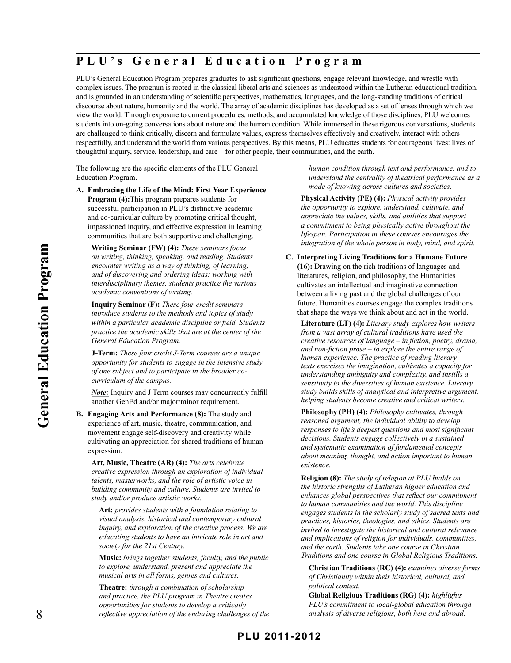# **P L U ' s G e n e r a l E d u c a t i o n P r o g r a m**

PLU's General Education Program prepares graduates to ask significant questions, engage relevant knowledge, and wrestle with complex issues. The program is rooted in the classical liberal arts and sciences as understood within the Lutheran educational tradition, and is grounded in an understanding of scientific perspectives, mathematics, languages, and the long-standing traditions of critical discourse about nature, humanity and the world. The array of academic disciplines has developed as a set of lenses through which we view the world. Through exposure to current procedures, methods, and accumulated knowledge of those disciplines, PLU welcomes students into on-going conversations about nature and the human condition. While immersed in these rigorous conversations, students are challenged to think critically, discern and formulate values, express themselves effectively and creatively, interact with others respectfully, and understand the world from various perspectives. By this means, PLU educates students for courageous lives: lives of thoughtful inquiry, service, leadership, and care—for other people, their communities, and the earth.

The following are the specific elements of the PLU General Education Program.

**A. Embracing the Life of the Mind: First Year Experience Program (4):**This program prepares students for successful participation in PLU's distinctive academic and co-curricular culture by promoting critical thought, impassioned inquiry, and effective expression in learning communities that are both supportive and challenging.

**Writing Seminar (FW) (4):** *These seminars focus on writing, thinking, speaking, and reading. Students encounter writing as a way of thinking, of learning, and of discovering and ordering ideas: working with interdisciplinary themes, students practice the various academic conventions of writing.*

**Inquiry Seminar (F):** *These four credit seminars introduce students to the methods and topics of study within a particular academic discipline or field. Students practice the academic skills that are at the center of the General Education Program.*

**J-Term:** *These four credit J-Term courses are a unique opportunity for students to engage in the intensive study of one subject and to participate in the broader cocurriculum of the campus.*

*Note:* Inquiry and J Term courses may concurrently fulfill another GenEd and/or major/minor requirement.

**B. Engaging Arts and Performance (8):** The study and experience of art, music, theatre, communication, and movement engage self-discovery and creativity while cultivating an appreciation for shared traditions of human expression.

**Art, Music, Theatre (AR) (4):** *The arts celebrate creative expression through an exploration of individual talents, masterworks, and the role of artistic voice in building community and culture. Students are invited to study and/or produce artistic works.*

**Art:** *provides students with a foundation relating to visual analysis, historical and contemporary cultural inquiry, and exploration of the creative process. We are educating students to have an intricate role in art and society for the 21st Century.*

**Music:** *brings together students, faculty, and the public to explore, understand, present and appreciate the musical arts in all forms, genres and cultures.*

**Theatre:** *through a combination of scholarship and practice, the PLU program in Theatre creates opportunities for students to develop a critically reflective appreciation of the enduring challenges of the*  *human condition through text and performance, and to understand the centrality of theatrical performance as a mode of knowing across cultures and societies.*

**Physical Activity (PE) (4):** *Physical activity provides the opportunity to explore, understand, cultivate, and appreciate the values, skills, and abilities that support a commitment to being physically active throughout the lifespan. Participation in these courses encourages the integration of the whole person in body, mind, and spirit.*

**C. Interpreting Living Traditions for a Humane Future (16):** Drawing on the rich traditions of languages and literatures, religion, and philosophy, the Humanities cultivates an intellectual and imaginative connection between a living past and the global challenges of our future. Humanities courses engage the complex traditions that shape the ways we think about and act in the world.

**Literature (LT) (4):** *Literary study explores how writers from a vast array of cultural traditions have used the creative resources of language – in fiction, poetry, drama, and non-fiction prose – to explore the entire range of human experience. The practice of reading literary texts exercises the imagination, cultivates a capacity for understanding ambiguity and complexity, and instills a sensitivity to the diversities of human existence. Literary study builds skills of analytical and interpretive argument, helping students become creative and critical writers.*

**Philosophy (PH) (4):** *Philosophy cultivates, through reasoned argument, the individual ability to develop responses to life's deepest questions and most significant decisions. Students engage collectively in a sustained and systematic examination of fundamental concepts about meaning, thought, and action important to human existence.*

**Religion (8):** *The study of religion at PLU builds on the historic strengths of Lutheran higher education and enhances global perspectives that reflect our commitment to human communities and the world. This discipline engages students in the scholarly study of sacred texts and practices, histories, theologies, and ethics. Students are invited to investigate the historical and cultural relevance and implications of religion for individuals, communities, and the earth. Students take one course in Christian Traditions and one course in Global Religious Traditions.*

**Christian Traditions (RC) (4):** *examines diverse forms of Christianity within their historical, cultural, and political context.*

**Global Religious Traditions (RG) (4):** *highlights PLU's commitment to local-global education through analysis of diverse religions, both here and abroad.*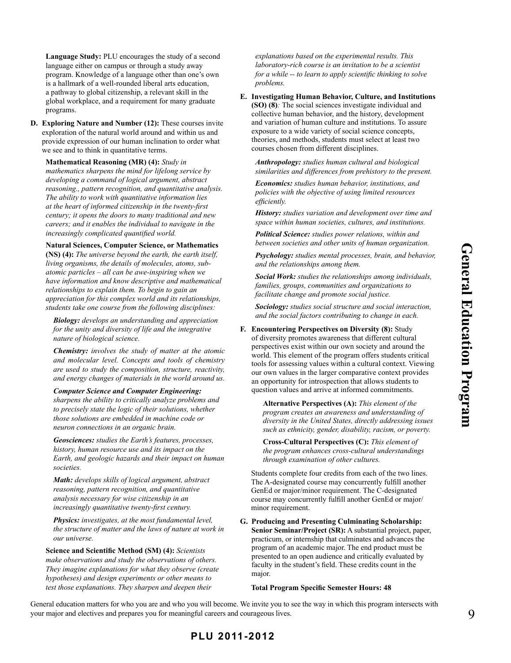**Language Study:** PLU encourages the study of a second language either on campus or through a study away program. Knowledge of a language other than one's own is a hallmark of a well-rounded liberal arts education, a pathway to global citizenship, a relevant skill in the global workplace, and a requirement for many graduate programs.

**D. Exploring Nature and Number (12):** These courses invite exploration of the natural world around and within us and provide expression of our human inclination to order what we see and to think in quantitative terms.

**Mathematical Reasoning (MR) (4):** *Study in mathematics sharpens the mind for lifelong service by developing a command of logical argument, abstract reasoning., pattern recognition, and quantitative analysis. The ability to work with quantitative information lies at the heart of informed citizenship in the twenty-first century; it opens the doors to many traditional and new careers; and it enables the individual to navigate in the increasingly complicated quantified world.*

**Natural Sciences, Computer Science, or Mathematics (NS) (4):** *The universe beyond the earth, the earth itself, living organisms, the details of molecules, atoms, subatomic particles – all can be awe-inspiring when we have information and know descriptive and mathematical relationships to explain them. To begin to gain an appreciation for this complex world and its relationships, students take one course from the following disciplines:*

*Biology: develops an understanding and appreciation for the unity and diversity of life and the integrative nature of biological science.*

*Chemistry: involves the study of matter at the atomic and molecular level. Concepts and tools of chemistry are used to study the composition, structure, reactivity, and energy changes of materials in the world around us.*

#### *Computer Science and Computer Engineering:*

*sharpens the ability to critically analyze problems and to precisely state the logic of their solutions, whether those solutions are embedded in machine code or neuron connections in an organic brain.*

*Geosciences: studies the Earth's features, processes, history, human resource use and its impact on the Earth, and geologic hazards and their impact on human societies.*

*Math: develops skills of logical argument, abstract reasoning, pattern recognition, and quantitative analysis necessary for wise citizenship in an increasingly quantitative twenty-first century.*

*Physics: investigates, at the most fundamental level, the structure of matter and the laws of nature at work in our universe.*

#### **Science and Scientific Method (SM) (4):** *Scientists*

*make observations and study the observations of others. They imagine explanations for what they observe (create hypotheses) and design experiments or other means to test those explanations. They sharpen and deepen their* 

*explanations based on the experimental results. This laboratory-rich course is an invitation to be a scientist for a while -- to learn to apply scientific thinking to solve problems.*

**E. Investigating Human Behavior, Culture, and Institutions (SO) (8)***:* The social sciences investigate individual and collective human behavior, and the history, development and variation of human culture and institutions. To assure exposure to a wide variety of social science concepts, theories, and methods, students must select at least two courses chosen from different disciplines.

*Anthropology: studies human cultural and biological similarities and differences from prehistory to the present.*

*Economics: studies human behavior, institutions, and policies with the objective of using limited resources efficiently.*

*History: studies variation and development over time and space within human societies, cultures, and institutions.*

*Political Science: studies power relations, within and between societies and other units of human organization.*

*Psychology: studies mental processes, brain, and behavior, and the relationships among them.*

*Social Work: studies the relationships among individuals, families, groups, communities and organizations to facilitate change and promote social justice.*

*Sociology: studies social structure and social interaction, and the social factors contributing to change in each.*

**F. Encountering Perspectives on Diversity (8):** Study of diversity promotes awareness that different cultural perspectives exist within our own society and around the world. This element of the program offers students critical tools for assessing values within a cultural context. Viewing our own values in the larger comparative context provides an opportunity for introspection that allows students to question values and arrive at informed commitments.

> **Alternative Perspectives (A):** *This element of the program creates an awareness and understanding of diversity in the United States, directly addressing issues such as ethnicity, gender, disability, racism, or poverty.*

**Cross-Cultural Perspectives (C):** *This element of the program enhances cross-cultural understandings through examination of other cultures.*

Students complete four credits from each of the two lines. The A-designated course may concurrently fulfill another GenEd or major/minor requirement. The C-designated course may concurrently fulfill another GenEd or major/ minor requirement.

**G. Producing and Presenting Culminating Scholarship: Senior Seminar/Project (SR):** A substantial project, paper, practicum, or internship that culminates and advances the program of an academic major. The end product must be presented to an open audience and critically evaluated by faculty in the student's field. These credits count in the major.

#### **Total Program Specific Semester Hours: 48**

General education matters for who you are and who you will become. We invite you to see the way in which this program intersects with your major and electives and prepares you for meaningful careers and courageous lives.

## **PLU 2011-2012**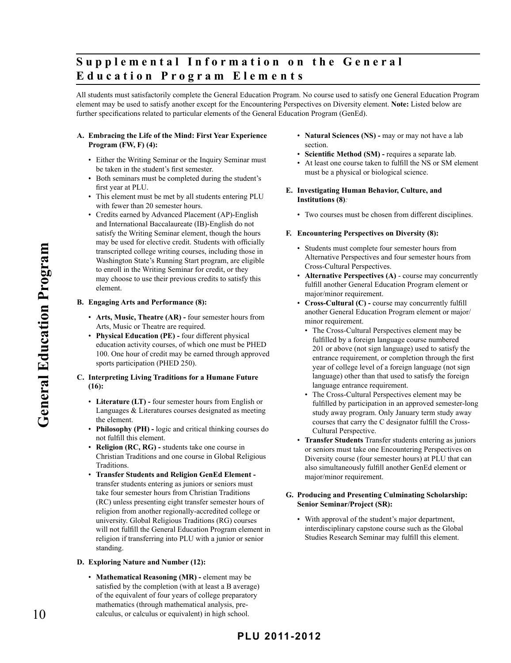# **Supplemental Information on the General E d u c a t i o n P r o g r a m E l e m e n t s**

All students must satisfactorily complete the General Education Program. No course used to satisfy one General Education Program element may be used to satisfy another except for the Encountering Perspectives on Diversity element. **Note:** Listed below are further specifications related to particular elements of the General Education Program (GenEd).

### **A. Embracing the Life of the Mind: First Year Experience Program (FW, F) (4):**

- Either the Writing Seminar or the Inquiry Seminar must be taken in the student's first semester.
- Both seminars must be completed during the student's first year at PLU.
- This element must be met by all students entering PLU with fewer than 20 semester hours.
- Credits earned by Advanced Placement (AP)-English and International Baccalaureate (IB)-English do not satisfy the Writing Seminar element, though the hours may be used for elective credit. Students with officially transcripted college writing courses, including those in Washington State's Running Start program, are eligible to enroll in the Writing Seminar for credit, or they may choose to use their previous credits to satisfy this element.

### **B. Engaging Arts and Performance (8):**

- **Arts, Music, Theatre (AR)** four semester hours from Arts, Music or Theatre are required.
- **Physical Education (PE)** four different physical education activity courses, of which one must be PHED 100. One hour of credit may be earned through approved sports participation (PHED 250).

## **C. Interpreting Living Traditions for a Humane Future (16):**

- **Literature (LT)** four semester hours from English or Languages & Literatures courses designated as meeting the element.
- **Philosophy (PH)** logic and critical thinking courses do not fulfill this element.
- **Religion (RC, RG)** students take one course in Christian Traditions and one course in Global Religious Traditions.
- **Transfer Students and Religion GenEd Element**  transfer students entering as juniors or seniors must take four semester hours from Christian Traditions (RC) unless presenting eight transfer semester hours of religion from another regionally-accredited college or university. Global Religious Traditions (RG) courses will not fulfill the General Education Program element in religion if transferring into PLU with a junior or senior standing.

### **D. Exploring Nature and Number (12):**

• **Mathematical Reasoning (MR) -** element may be satisfied by the completion (with at least a B average) of the equivalent of four years of college preparatory mathematics (through mathematical analysis, precalculus, or calculus or equivalent) in high school.

- **Natural Sciences (NS)** may or may not have a lab section.
- **Scientific Method (SM) requires a separate lab.**
- At least one course taken to fulfill the NS or SM element must be a physical or biological science.
- **E. Investigating Human Behavior, Culture, and Institutions (8)***:*
	- Two courses must be chosen from different disciplines.

## **F. Encountering Perspectives on Diversity (8):**

- Students must complete four semester hours from Alternative Perspectives and four semester hours from Cross-Cultural Perspectives.
- **Alternative Perspectives (A)** course may concurrently fulfill another General Education Program element or major/minor requirement.
- **Cross-Cultural (C)** course may concurrently fulfill another General Education Program element or major/ minor requirement.
	- The Cross-Cultural Perspectives element may be fulfilled by a foreign language course numbered 201 or above (not sign language) used to satisfy the entrance requirement, or completion through the first year of college level of a foreign language (not sign language) other than that used to satisfy the foreign language entrance requirement.
	- The Cross-Cultural Perspectives element may be fulfilled by participation in an approved semester-long study away program. Only January term study away courses that carry the C designator fulfill the Cross-Cultural Perspective.
- **Transfer Students** Transfer students entering as juniors or seniors must take one Encountering Perspectives on Diversity course (four semester hours) at PLU that can also simultaneously fulfill another GenEd element or major/minor requirement.

### **G. Producing and Presenting Culminating Scholarship: Senior Seminar/Project (SR):**

• With approval of the student's major department, interdisciplinary capstone course such as the Global Studies Research Seminar may fulfill this element.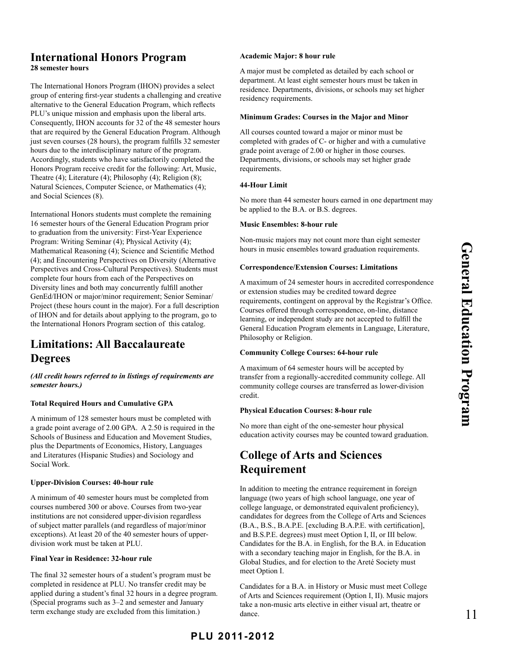# **International Honors Program**

**28 semester hours**

The International Honors Program (IHON) provides a select group of entering first-year students a challenging and creative alternative to the General Education Program, which reflects PLU's unique mission and emphasis upon the liberal arts. Consequently, IHON accounts for 32 of the 48 semester hours that are required by the General Education Program. Although just seven courses (28 hours), the program fulfills 32 semester hours due to the interdisciplinary nature of the program. Accordingly, students who have satisfactorily completed the Honors Program receive credit for the following: Art, Music, Theatre (4); Literature (4); Philosophy (4); Religion (8); Natural Sciences, Computer Science, or Mathematics (4); and Social Sciences (8).

International Honors students must complete the remaining 16 semester hours of the General Education Program prior to graduation from the university: First-Year Experience Program: Writing Seminar (4); Physical Activity (4); Mathematical Reasoning (4); Science and Scientific Method (4); and Encountering Perspectives on Diversity (Alternative Perspectives and Cross-Cultural Perspectives). Students must complete four hours from each of the Perspectives on Diversity lines and both may concurrently fulfill another GenEd/IHON or major/minor requirement; Senior Seminar/ Project (these hours count in the major). For a full description of IHON and for details about applying to the program, go to the International Honors Program section of this catalog.

# **Limitations: All Baccalaureate Degrees**

*(All credit hours referred to in listings of requirements are semester hours.)*

## **Total Required Hours and Cumulative GPA**

A minimum of 128 semester hours must be completed with a grade point average of 2.00 GPA. A 2.50 is required in the Schools of Business and Education and Movement Studies, plus the Departments of Economics, History, Languages and Literatures (Hispanic Studies) and Sociology and Social Work.

## **Upper-Division Courses: 40-hour rule**

A minimum of 40 semester hours must be completed from courses numbered 300 or above. Courses from two-year institutions are not considered upper-division regardless of subject matter parallels (and regardless of major/minor exceptions). At least 20 of the 40 semester hours of upperdivision work must be taken at PLU.

## **Final Year in Residence: 32-hour rule**

The final 32 semester hours of a student's program must be completed in residence at PLU. No transfer credit may be applied during a student's final 32 hours in a degree program. (Special programs such as 3–2 and semester and January term exchange study are excluded from this limitation.)

## **Academic Major: 8 hour rule**

A major must be completed as detailed by each school or department. At least eight semester hours must be taken in residence. Departments, divisions, or schools may set higher residency requirements.

## **Minimum Grades: Courses in the Major and Minor**

All courses counted toward a major or minor must be completed with grades of C- or higher and with a cumulative grade point average of 2.00 or higher in those courses. Departments, divisions, or schools may set higher grade requirements.

## **44-Hour Limit**

No more than 44 semester hours earned in one department may be applied to the B.A. or B.S. degrees.

## **Music Ensembles: 8-hour rule**

Non-music majors may not count more than eight semester hours in music ensembles toward graduation requirements.

## **Correspondence/Extension Courses: Limitations**

A maximum of 24 semester hours in accredited correspondence or extension studies may be credited toward degree requirements, contingent on approval by the Registrar's Office. Courses offered through correspondence, on-line, distance learning, or independent study are not accepted to fulfill the General Education Program elements in Language, Literature, Philosophy or Religion.

## **Community College Courses: 64-hour rule**

A maximum of 64 semester hours will be accepted by transfer from a regionally-accredited community college. All community college courses are transferred as lower-division credit.

## **Physical Education Courses: 8-hour rule**

No more than eight of the one-semester hour physical education activity courses may be counted toward graduation.

# **College of Arts and Sciences Requirement**

In addition to meeting the entrance requirement in foreign language (two years of high school language, one year of college language, or demonstrated equivalent proficiency), candidates for degrees from the College of Arts and Sciences (B.A., B.S., B.A.P.E. [excluding B.A.P.E. with certification], and B.S.P.E. degrees) must meet Option I, II, or III below. Candidates for the B.A. in English, for the B.A. in Education with a secondary teaching major in English, for the B.A. in Global Studies, and for election to the Areté Society must meet Option I.

Candidates for a B.A. in History or Music must meet College of Arts and Sciences requirement (Option I, II). Music majors take a non-music arts elective in either visual art, theatre or dance.